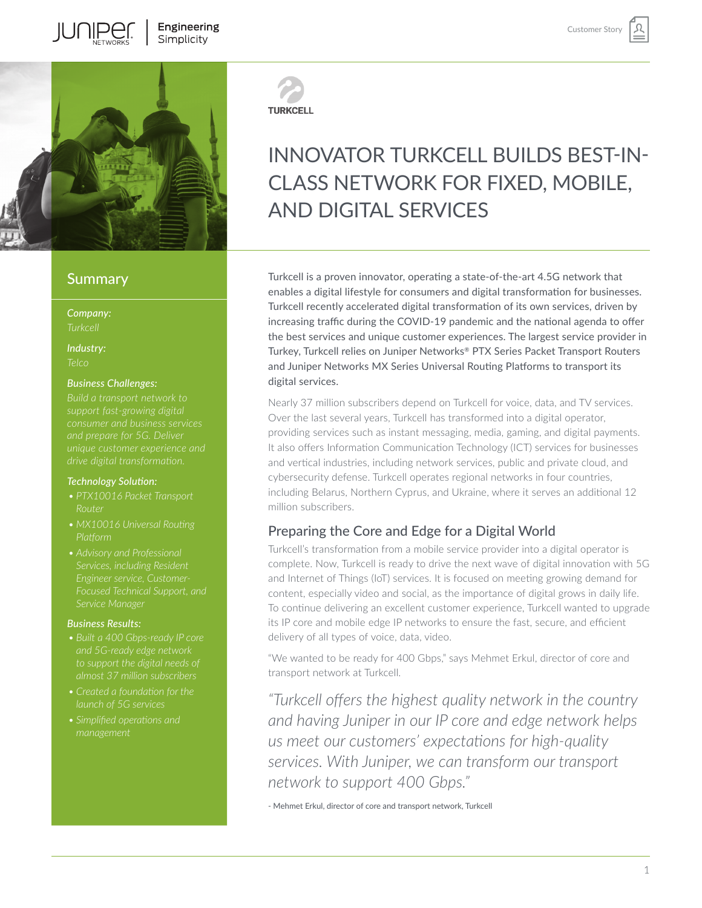

## **Summary**

*Company:*

*Industry: Telco*

#### *Business Challenges:*

#### *Technology Solution:*

- *• PTX10016 Packet Transport*
- *• MX10016 Universal Routing*
- *Services, including Resident*

#### *Business Results:*

- *to support the digital needs of*
- 
- 



### **TURKCELL**

# INNOVATOR TURKCELL BUILDS BEST-IN-CLASS NETWORK FOR FIXED, MOBILE, AND DIGITAL SERVICES

Customer Stor

Turkcell is a proven innovator, operating a state-of-the-art 4.5G network that enables a digital lifestyle for consumers and digital transformation for businesses. Turkcell recently accelerated digital transformation of its own services, driven by increasing traffic during the COVID-19 pandemic and the national agenda to offer the best services and unique customer experiences. The largest service provider in Turkey, Turkcell relies on Juniper Networks® PTX Series Packet Transport Routers and Juniper Networks MX Series Universal Routing Platforms to transport its digital services.

Nearly 37 million subscribers depend on Turkcell for voice, data, and TV services. Over the last several years, Turkcell has transformed into a digital operator, providing services such as instant messaging, media, gaming, and digital payments. It also offers Information Communication Technology (ICT) services for businesses and vertical industries, including network services, public and private cloud, and cybersecurity defense. Turkcell operates regional networks in four countries, including Belarus, Northern Cyprus, and Ukraine, where it serves an additional 12 million subscribers.

## Preparing the Core and Edge for a Digital World

Turkcell's transformation from a mobile service provider into a digital operator is complete. Now, Turkcell is ready to drive the next wave of digital innovation with 5G and Internet of Things (IoT) services. It is focused on meeting growing demand for content, especially video and social, as the importance of digital grows in daily life. To continue delivering an excellent customer experience, Turkcell wanted to upgrade its IP core and mobile edge IP networks to ensure the fast, secure, and efficient delivery of all types of voice, data, video.

"We wanted to be ready for 400 Gbps," says Mehmet Erkul, director of core and transport network at Turkcell.

*"Turkcell offers the highest quality network in the country and having Juniper in our IP core and edge network helps us meet our customers' expectations for high-quality services. With Juniper, we can transform our transport network to support 400 Gbps."* 

- Mehmet Erkul, director of core and transport network, Turkcell